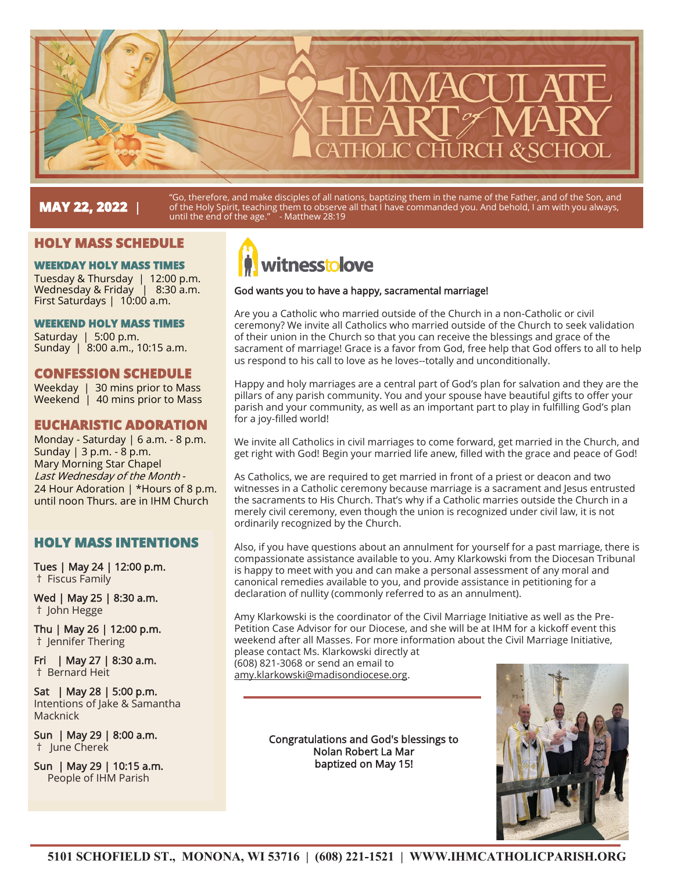# **MAY 22, 2022** |

"Go, therefore, and make disciples of all nations, baptizing them in the name of the Father, and of the Son, and of the Holy Spirit, teaching them to observe all that I have commanded you. And behold, I am with you always, until the end of the age." - Matthew 28:19

# **HOLY MASS SCHEDULE**

#### **WEEKDAY HOLY MASS TIMES**

Tuesday & Thursday | 12:00 p.m. Wednesday & Friday | 8:30 a.m. First Saturdays | 10:00 a.m.

#### **WEEKEND HOLY MASS TIMES**

Saturday | 5:00 p.m. Sunday | 8:00 a.m., 10:15 a.m.

# **CONFESSION SCHEDULE**

Weekday | 30 mins prior to Mass Weekend | 40 mins prior to Mass

# **EUCHARISTIC ADORATION**

Monday - Saturday | 6 a.m. - 8 p.m. Sunday | 3 p.m. - 8 p.m. Mary Morning Star Chapel Last Wednesday of the Month - 24 Hour Adoration | \*Hours of 8 p.m. until noon Thurs. are in IHM Church

# **HOLY MASS INTENTIONS**

Tues | May 24 | 12:00 p.m. † Fiscus Family

Wed | May 25 | 8:30 a.m. † John Hegge

Thu | May 26 | 12:00 p.m. † Jennifer Thering

Fri | May 27 | 8:30 a.m. † Bernard Heit

Sat | May 28 | 5:00 p.m. Intentions of Jake & Samantha Macknick

Sun | May 29 | 8:00 a.m. † June Cherek

Sun | May 29 | 10:15 a.m. People of IHM Parish



#### God wants you to have a happy, sacramental marriage!

Are you a Catholic who married outside of the Church in a non-Catholic or civil ceremony? We invite all Catholics who married outside of the Church to seek validation of their union in the Church so that you can receive the blessings and grace of the sacrament of marriage! Grace is a favor from God, free help that God offers to all to help us respond to his call to love as he loves--totally and unconditionally.

Happy and holy marriages are a central part of God's plan for salvation and they are the pillars of any parish community. You and your spouse have beautiful gifts to offer your parish and your community, as well as an important part to play in fulfilling God's plan for a joy-filled world!

We invite all Catholics in civil marriages to come forward, get married in the Church, and get right with God! Begin your married life anew, filled with the grace and peace of God!

As Catholics, we are required to get married in front of a priest or deacon and two witnesses in a Catholic ceremony because marriage is a sacrament and Jesus entrusted the sacraments to His Church. That's why if a Catholic marries outside the Church in a merely civil ceremony, even though the union is recognized under civil law, it is not ordinarily recognized by the Church.

Also, if you have questions about an annulment for yourself for a past marriage, there is compassionate assistance available to you. Amy Klarkowski from the Diocesan Tribunal is happy to meet with you and can make a personal assessment of any moral and canonical remedies available to you, and provide assistance in petitioning for a declaration of nullity (commonly referred to as an annulment).

Amy Klarkowski is the coordinator of the Civil Marriage Initiative as well as the Pre-Petition Case Advisor for our Diocese, and she will be at IHM for a kickoff event this weekend after all Masses. For more information about the Civil Marriage Initiative, please contact Ms. Klarkowski directly at

(608) 821-3068 or send an email to amy.klarkowski@madisondiocese.org.

> Congratulations and God's blessings to Nolan Robert La Mar baptized on May 15!